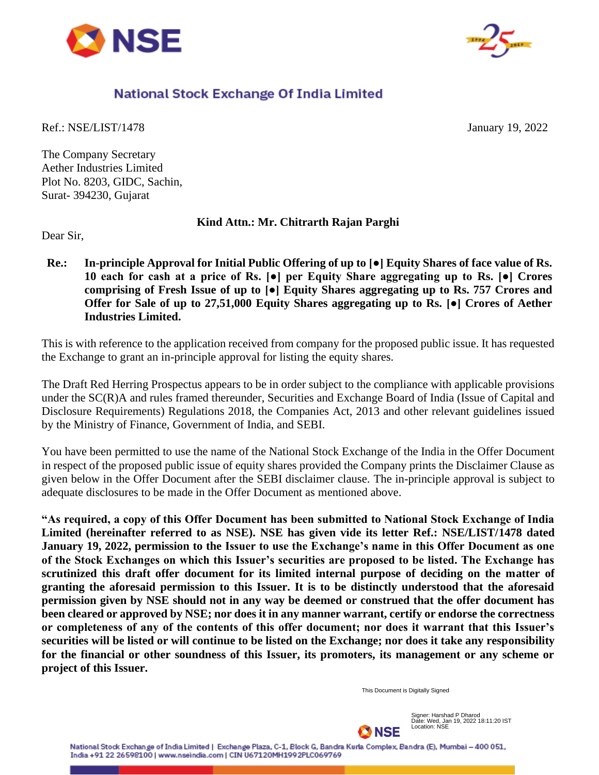



## National Stock Exchange Of India Limited

Ref.: NSE/LIST/1478 January 19, 2022

The Company Secretary Aether Industries Limited Plot No. 8203, GIDC, Sachin, Surat- 394230, Gujarat

## **Kind Attn.: Mr. Chitrarth Rajan Parghi**

Dear Sir,

**Re.: In-principle Approval for Initial Public Offering of up to [●] Equity Shares of face value of Rs. 10 each for cash at a price of Rs. [●] per Equity Share aggregating up to Rs. [●] Crores comprising of Fresh Issue of up to [●] Equity Shares aggregating up to Rs. 757 Crores and Offer for Sale of up to 27,51,000 Equity Shares aggregating up to Rs. [●] Crores of Aether Industries Limited.**

This is with reference to the application received from company for the proposed public issue. It has requested the Exchange to grant an in-principle approval for listing the equity shares.

The Draft Red Herring Prospectus appears to be in order subject to the compliance with applicable provisions under the SC(R)A and rules framed thereunder, Securities and Exchange Board of India (Issue of Capital and Disclosure Requirements) Regulations 2018, the Companies Act, 2013 and other relevant guidelines issued by the Ministry of Finance, Government of India, and SEBI.

You have been permitted to use the name of the National Stock Exchange of the India in the Offer Document in respect of the proposed public issue of equity shares provided the Company prints the Disclaimer Clause as given below in the Offer Document after the SEBI disclaimer clause. The in-principle approval is subject to adequate disclosures to be made in the Offer Document as mentioned above.

**"As required, a copy of this Offer Document has been submitted to National Stock Exchange of India Limited (hereinafter referred to as NSE). NSE has given vide its letter Ref.: NSE/LIST/1478 dated January 19, 2022, permission to the Issuer to use the Exchange's name in this Offer Document as one of the Stock Exchanges on which this Issuer's securities are proposed to be listed. The Exchange has scrutinized this draft offer document for its limited internal purpose of deciding on the matter of granting the aforesaid permission to this Issuer. It is to be distinctly understood that the aforesaid permission given by NSE should not in any way be deemed or construed that the offer document has been cleared or approved by NSE; nor does it in any manner warrant, certify or endorse the correctness or completeness of any of the contents of this offer document; nor does it warrant that this Issuer's securities will be listed or will continue to be listed on the Exchange; nor does it take any responsibility for the financial or other soundness of this Issuer, its promoters, its management or any scheme or project of this Issuer.**

This Document is Digitally Signed



Signer: Harshad P Dharod Date: Wed, Jan 19, 2022 18:11:20 IST Location: NSE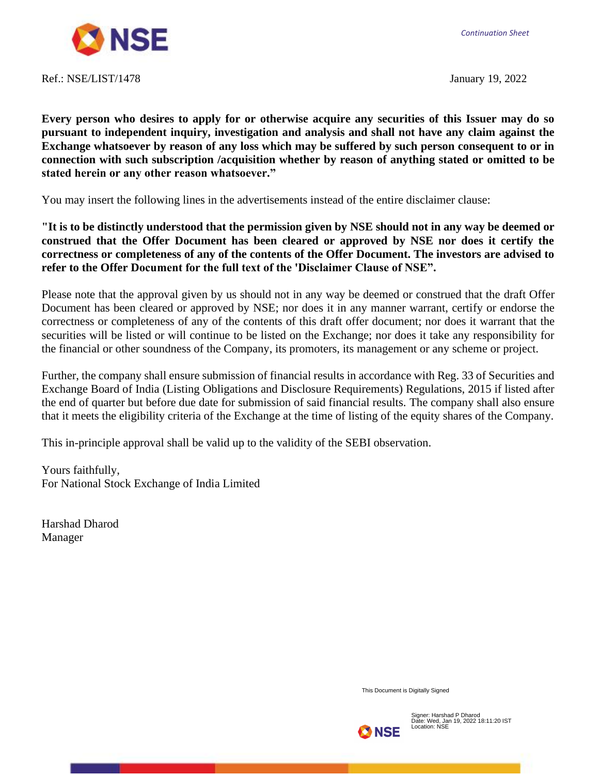

**Every person who desires to apply for or otherwise acquire any securities of this Issuer may do so pursuant to independent inquiry, investigation and analysis and shall not have any claim against the Exchange whatsoever by reason of any loss which may be suffered by such person consequent to or in connection with such subscription /acquisition whether by reason of anything stated or omitted to be stated herein or any other reason whatsoever."**

You may insert the following lines in the advertisements instead of the entire disclaimer clause:

**"It is to be distinctly understood that the permission given by NSE should not in any way be deemed or construed that the Offer Document has been cleared or approved by NSE nor does it certify the correctness or completeness of any of the contents of the Offer Document. The investors are advised to refer to the Offer Document for the full text of the 'Disclaimer Clause of NSE".**

Please note that the approval given by us should not in any way be deemed or construed that the draft Offer Document has been cleared or approved by NSE; nor does it in any manner warrant, certify or endorse the correctness or completeness of any of the contents of this draft offer document; nor does it warrant that the securities will be listed or will continue to be listed on the Exchange; nor does it take any responsibility for the financial or other soundness of the Company, its promoters, its management or any scheme or project.

Further, the company shall ensure submission of financial results in accordance with Reg. 33 of Securities and Exchange Board of India (Listing Obligations and Disclosure Requirements) Regulations, 2015 if listed after the end of quarter but before due date for submission of said financial results. The company shall also ensure that it meets the eligibility criteria of the Exchange at the time of listing of the equity shares of the Company.

This in-principle approval shall be valid up to the validity of the SEBI observation.

Yours faithfully, For National Stock Exchange of India Limited

Harshad Dharod Manager

This Document is Digitally Signed



Signer: Harshad P Dharod Date: Wed, Jan 19, 2022 18:11:20 IST Location: NSE